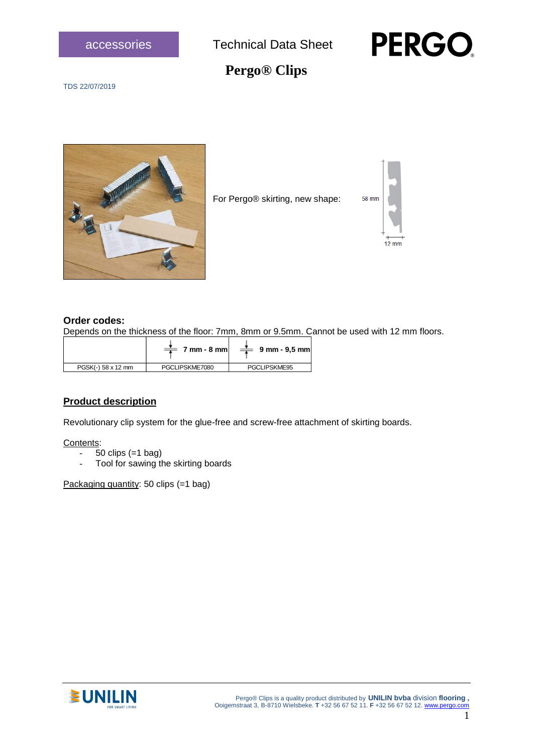



# **Pergo® Clips**

TDS 22/07/2019



For Pergo® skirting, new shape:



#### **Order codes:**

Depends on the thickness of the floor: 7mm, 8mm or 9.5mm. Cannot be used with 12 mm floors.

|                    | $7 \text{ mm}$ - 8 mm | $9 \, \text{mm}$ - 9.5 mm |
|--------------------|-----------------------|---------------------------|
| PGSK(-) 58 x 12 mm | PGCLIPSKME7080        | PGCLIPSKME95              |

### **Product description**

Revolutionary clip system for the glue-free and screw-free attachment of skirting boards.

Contents:

- $-50$  clips  $(=1$  bag)
- Tool for sawing the skirting boards

Packaging quantity: 50 clips (=1 bag)

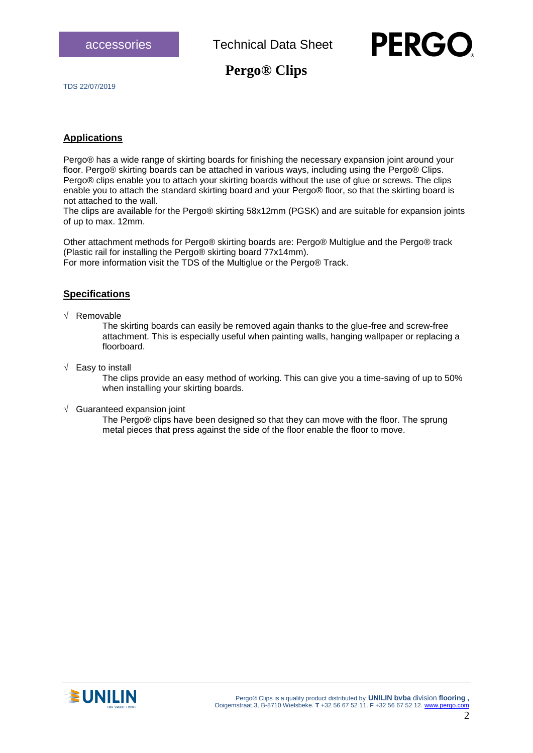

### **Pergo® Clips**

TDS 22/07/2019

#### **Applications**

Pergo® has a wide range of skirting boards for finishing the necessary expansion joint around your floor. Pergo® skirting boards can be attached in various ways, including using the Pergo® Clips. Pergo® clips enable you to attach your skirting boards without the use of glue or screws. The clips enable you to attach the standard skirting board and your Pergo® floor, so that the skirting board is not attached to the wall.

The clips are available for the Pergo® skirting 58x12mm (PGSK) and are suitable for expansion joints of up to max. 12mm.

Other attachment methods for Pergo® skirting boards are: Pergo® Multiglue and the Pergo® track (Plastic rail for installing the Pergo® skirting board 77x14mm). For more information visit the TDS of the Multiglue or the Pergo® Track.

#### **Specifications**

 $\sqrt{\phantom{a}}$  Removable

The skirting boards can easily be removed again thanks to the glue-free and screw-free attachment. This is especially useful when painting walls, hanging wallpaper or replacing a floorboard.

 $\sqrt{\phantom{a}}$  Easy to install

The clips provide an easy method of working. This can give you a time-saving of up to 50% when installing your skirting boards.

 $\sqrt{ }$  Guaranteed expansion joint

The Pergo® clips have been designed so that they can move with the floor. The sprung metal pieces that press against the side of the floor enable the floor to move.

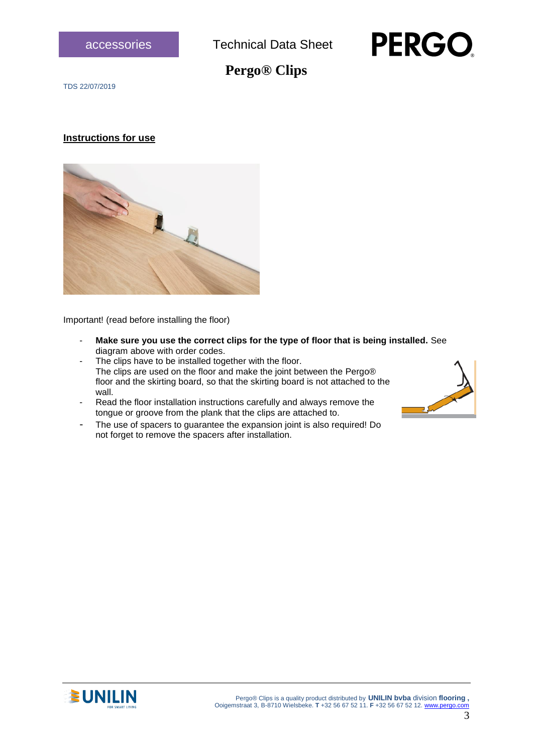



## **Pergo® Clips**

TDS 22/07/2019

#### **Instructions for use**



Important! (read before installing the floor)

- **Make sure you use the correct clips for the type of floor that is being installed.** See diagram above with order codes.
- The clips have to be installed together with the floor. The clips are used on the floor and make the joint between the Pergo® floor and the skirting board, so that the skirting board is not attached to the wall.
- Read the floor installation instructions carefully and always remove the tongue or groove from the plank that the clips are attached to.
- The use of spacers to guarantee the expansion joint is also required! Do not forget to remove the spacers after installation.